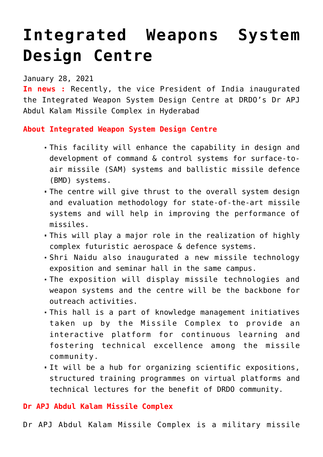## **[Integrated Weapons System](https://journalsofindia.com/integrated-weapons-system-design-centre/) [Design Centre](https://journalsofindia.com/integrated-weapons-system-design-centre/)**

January 28, 2021

**In news :** Recently, the vice President of India inaugurated the Integrated Weapon System Design Centre at DRDO's Dr APJ Abdul Kalam Missile Complex in Hyderabad

**About Integrated Weapon System Design Centre**

- This facility will enhance the capability in design and development of command & control systems for surface-toair missile (SAM) systems and ballistic missile defence (BMD) systems.
- The centre will give thrust to the overall system design and evaluation methodology for state-of-the-art missile systems and will help in improving the performance of missiles.
- This will play a major role in the realization of highly complex futuristic aerospace & defence systems.
- Shri Naidu also inaugurated a new missile technology exposition and seminar hall in the same campus.
- The exposition will display missile technologies and weapon systems and the centre will be the backbone for outreach activities.
- This hall is a part of knowledge management initiatives taken up by the Missile Complex to provide an interactive platform for continuous learning and fostering technical excellence among the missile community.
- It will be a hub for organizing scientific expositions, structured training programmes on virtual platforms and technical lectures for the benefit of DRDO community.

**Dr APJ Abdul Kalam Missile Complex**

Dr APJ Abdul Kalam Missile Complex is a military missile